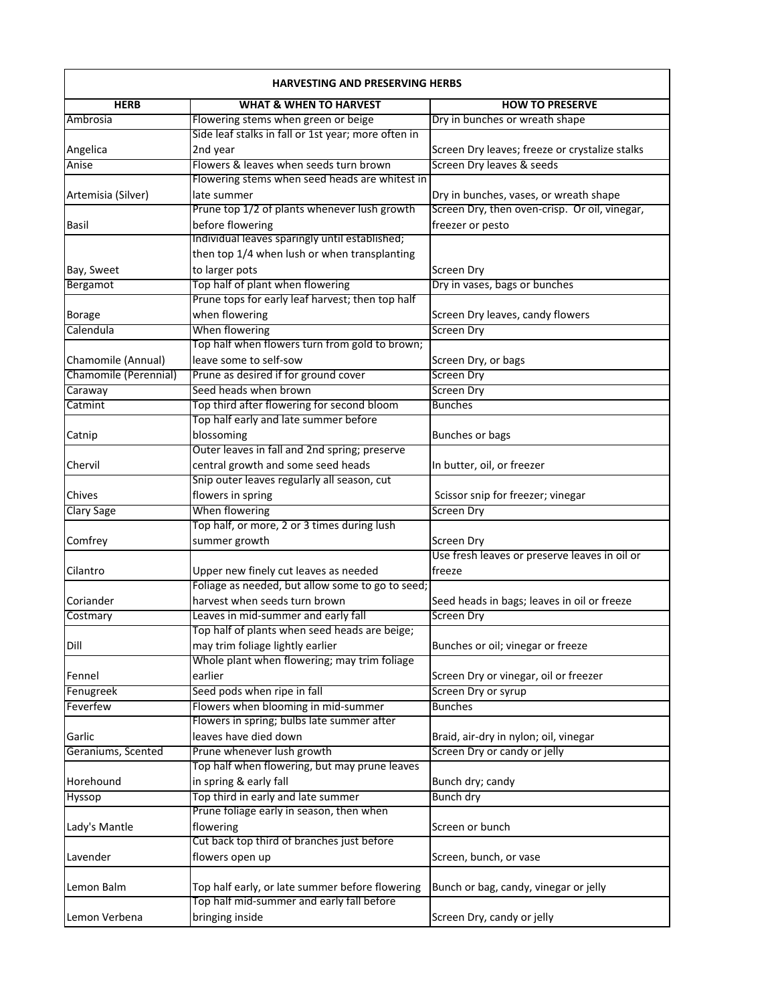| <b>HARVESTING AND PRESERVING HERBS</b>      |                                                     |                                                |
|---------------------------------------------|-----------------------------------------------------|------------------------------------------------|
| <b>HERB</b>                                 | <b>WHAT &amp; WHEN TO HARVEST</b>                   | <b>HOW TO PRESERVE</b>                         |
| Ambrosia                                    | Flowering stems when green or beige                 | Dry in bunches or wreath shape                 |
|                                             | Side leaf stalks in fall or 1st year; more often in |                                                |
| Angelica                                    | 2nd year                                            | Screen Dry leaves; freeze or crystalize stalks |
| Anise                                       | Flowers & leaves when seeds turn brown              | Screen Dry leaves & seeds                      |
|                                             | Flowering stems when seed heads are whitest in      |                                                |
| Artemisia (Silver)                          | late summer                                         | Dry in bunches, vases, or wreath shape         |
|                                             | Prune top 1/2 of plants whenever lush growth        | Screen Dry, then oven-crisp. Or oil, vinegar,  |
| Basil                                       | before flowering                                    | freezer or pesto                               |
|                                             | Individual leaves sparingly until established;      |                                                |
|                                             | then top 1/4 when lush or when transplanting        |                                                |
| Bay, Sweet                                  | to larger pots                                      | Screen Dry                                     |
| Bergamot                                    | Top half of plant when flowering                    | Dry in vases, bags or bunches                  |
|                                             | Prune tops for early leaf harvest; then top half    |                                                |
| <b>Borage</b>                               | when flowering                                      | Screen Dry leaves, candy flowers               |
| Calendula                                   | When flowering                                      | <b>Screen Dry</b>                              |
|                                             | Top half when flowers turn from gold to brown;      |                                                |
|                                             | leave some to self-sow                              |                                                |
| Chamomile (Annual)<br>Chamomile (Perennial) | Prune as desired if for ground cover                | Screen Dry, or bags<br><b>Screen Dry</b>       |
|                                             |                                                     |                                                |
| Caraway                                     | Seed heads when brown                               | <b>Screen Dry</b>                              |
| Catmint                                     | Top third after flowering for second bloom          | <b>Bunches</b>                                 |
|                                             | Top half early and late summer before               |                                                |
| Catnip                                      | blossoming                                          | Bunches or bags                                |
|                                             | Outer leaves in fall and 2nd spring; preserve       |                                                |
| Chervil                                     | central growth and some seed heads                  | In butter, oil, or freezer                     |
|                                             | Snip outer leaves regularly all season, cut         |                                                |
| Chives                                      | flowers in spring                                   | Scissor snip for freezer; vinegar              |
| <b>Clary Sage</b>                           | When flowering                                      | <b>Screen Dry</b>                              |
|                                             | Top half, or more, 2 or 3 times during lush         |                                                |
| Comfrey                                     | summer growth                                       | Screen Dry                                     |
|                                             |                                                     | Use fresh leaves or preserve leaves in oil or  |
| Cilantro                                    | Upper new finely cut leaves as needed               | freeze                                         |
|                                             | Foliage as needed, but allow some to go to seed;    |                                                |
| Coriander                                   | harvest when seeds turn brown                       | Seed heads in bags; leaves in oil or freeze    |
| Costmary                                    | Leaves in mid-summer and early fall                 | <b>Screen Dry</b>                              |
|                                             | Top half of plants when seed heads are beige;       |                                                |
| Dill                                        | may trim foliage lightly earlier                    | Bunches or oil; vinegar or freeze              |
|                                             | Whole plant when flowering; may trim foliage        |                                                |
| Fennel                                      | earlier                                             | Screen Dry or vinegar, oil or freezer          |
| Fenugreek                                   | Seed pods when ripe in fall                         | Screen Dry or syrup                            |
| Feverfew                                    | Flowers when blooming in mid-summer                 | <b>Bunches</b>                                 |
|                                             | Flowers in spring; bulbs late summer after          |                                                |
| Garlic                                      | leaves have died down                               | Braid, air-dry in nylon; oil, vinegar          |
| Geraniums, Scented                          | Prune whenever lush growth                          | Screen Dry or candy or jelly                   |
|                                             | Top half when flowering, but may prune leaves       |                                                |
| Horehound                                   | in spring & early fall                              | Bunch dry; candy                               |
| Hyssop                                      | Top third in early and late summer                  | Bunch dry                                      |
|                                             | Prune foliage early in season, then when            |                                                |
| Lady's Mantle                               | flowering                                           | Screen or bunch                                |
|                                             | Cut back top third of branches just before          |                                                |
| Lavender                                    | flowers open up                                     | Screen, bunch, or vase                         |
|                                             |                                                     |                                                |
| Lemon Balm                                  | Top half early, or late summer before flowering     |                                                |
|                                             | Top half mid-summer and early fall before           | Bunch or bag, candy, vinegar or jelly          |
|                                             |                                                     |                                                |
| Lemon Verbena                               | bringing inside                                     | Screen Dry, candy or jelly                     |